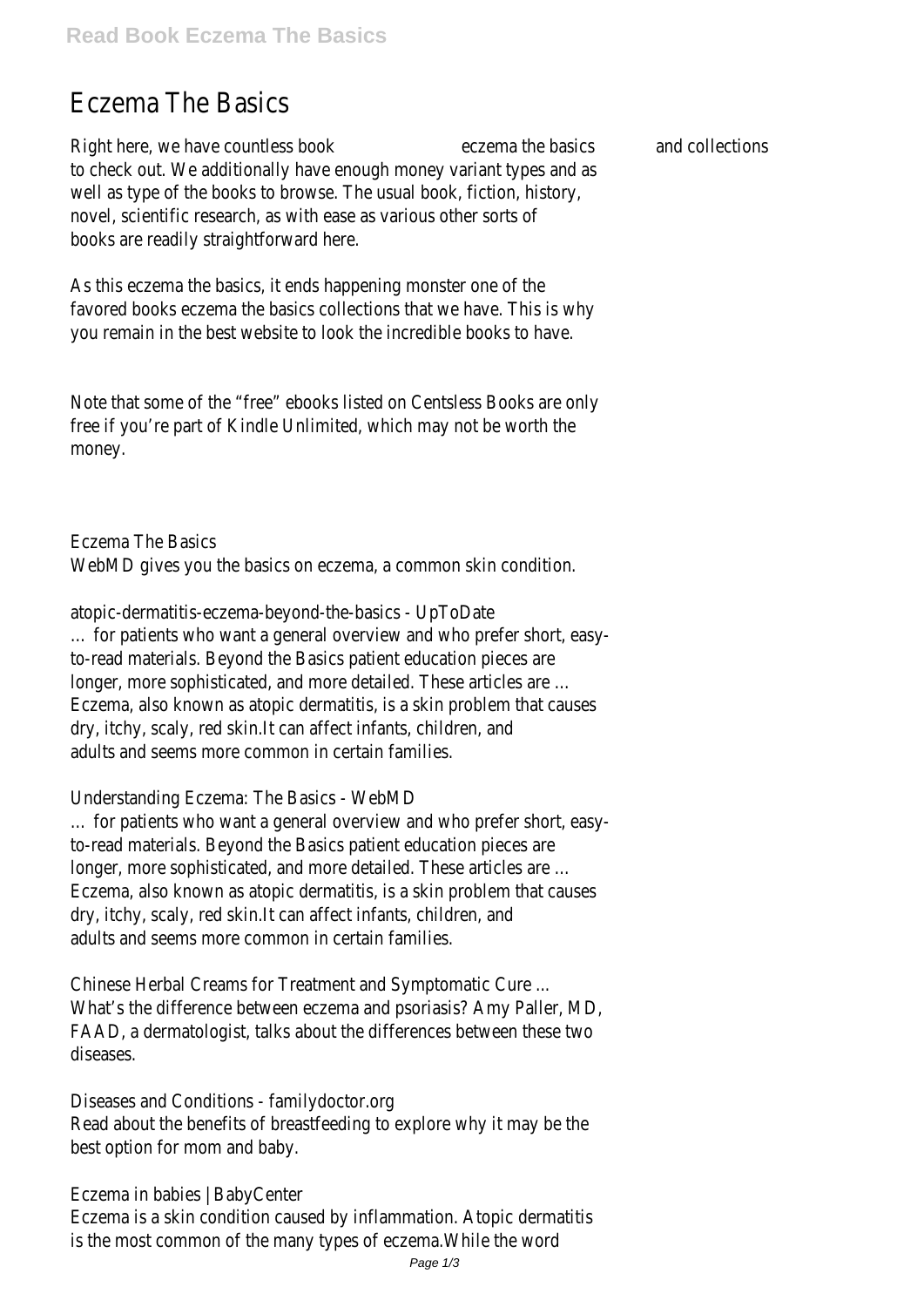## Eczema The Basics

Right here, we have countless book eczema the basics and collections to check out. We additionally have enough money variant types and as well as type of the books to browse. The usual book, fiction, history, novel, scientific research, as with ease as various other sorts of books are readily straightforward here.

As this eczema the basics, it ends happening monster one of the favored books eczema the basics collections that we have. This is why you remain in the best website to look the incredible books to have.

Note that some of the "free" ebooks listed on Centsless Books are only free if you're part of Kindle Unlimited, which may not be worth the money.

Eczema The Basics WebMD gives you the basics on eczema, a common skin condition.

atopic-dermatitis-eczema-beyond-the-basics - UpToDate … for patients who want a general overview and who prefer short, easyto-read materials. Beyond the Basics patient education pieces are longer, more sophisticated, and more detailed. These articles are … Eczema, also known as atopic dermatitis, is a skin problem that causes dry, itchy, scaly, red skin.It can affect infants, children, and adults and seems more common in certain families.

Understanding Eczema: The Basics - WebMD

… for patients who want a general overview and who prefer short, easyto-read materials. Beyond the Basics patient education pieces are longer, more sophisticated, and more detailed. These articles are … Eczema, also known as atopic dermatitis, is a skin problem that causes dry, itchy, scaly, red skin.It can affect infants, children, and adults and seems more common in certain families.

Chinese Herbal Creams for Treatment and Symptomatic Cure ... What's the difference between eczema and psoriasis? Amy Paller, MD, FAAD, a dermatologist, talks about the differences between these two diseases.

Diseases and Conditions - familydoctor.org Read about the benefits of breastfeeding to explore why it may be the best option for mom and baby.

Eczema in babies | BabyCenter Eczema is a skin condition caused by inflammation. Atopic dermatitis is the most common of the many types of eczema.While the word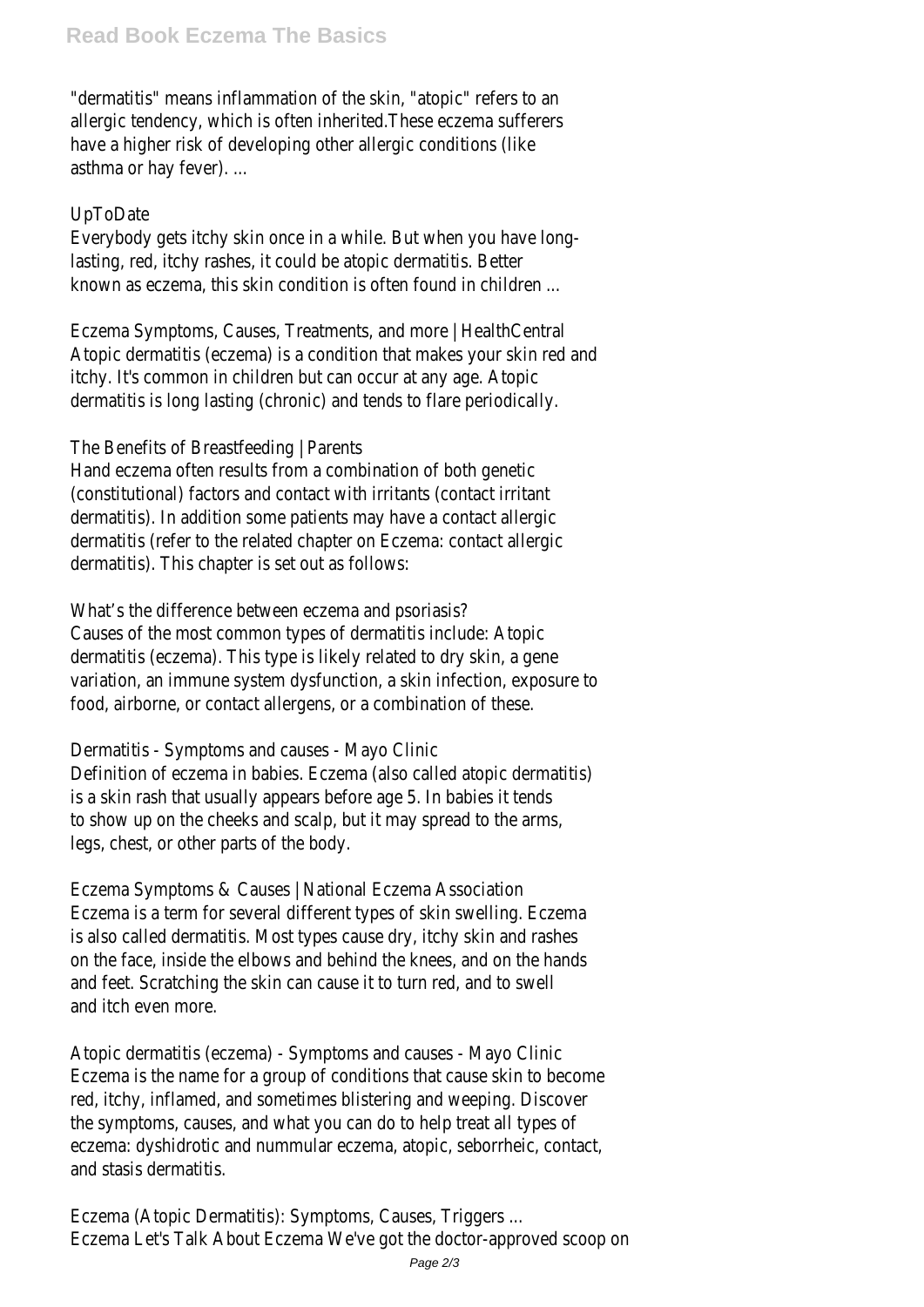"dermatitis" means inflammation of the skin, "atopic" refers to an allergic tendency, which is often inherited.These eczema sufferers have a higher risk of developing other allergic conditions (like asthma or hay fever). ...

## UpToDate

Everybody gets itchy skin once in a while. But when you have longlasting, red, itchy rashes, it could be atopic dermatitis. Better known as eczema, this skin condition is often found in children ...

Eczema Symptoms, Causes, Treatments, and more | HealthCentral Atopic dermatitis (eczema) is a condition that makes your skin red and itchy. It's common in children but can occur at any age. Atopic dermatitis is long lasting (chronic) and tends to flare periodically.

The Benefits of Breastfeeding | Parents

Hand eczema often results from a combination of both genetic (constitutional) factors and contact with irritants (contact irritant dermatitis). In addition some patients may have a contact allergic dermatitis (refer to the related chapter on Eczema: contact allergic dermatitis). This chapter is set out as follows:

What's the difference between eczema and psoriasis? Causes of the most common types of dermatitis include: Atopic dermatitis (eczema). This type is likely related to dry skin, a gene variation, an immune system dysfunction, a skin infection, exposure to food, airborne, or contact allergens, or a combination of these.

Dermatitis - Symptoms and causes - Mayo Clinic

Definition of eczema in babies. Eczema (also called atopic dermatitis) is a skin rash that usually appears before age 5. In babies it tends to show up on the cheeks and scalp, but it may spread to the arms, legs, chest, or other parts of the body.

Eczema Symptoms & Causes | National Eczema Association Eczema is a term for several different types of skin swelling. Eczema is also called dermatitis. Most types cause dry, itchy skin and rashes on the face, inside the elbows and behind the knees, and on the hands and feet. Scratching the skin can cause it to turn red, and to swell and itch even more.

Atopic dermatitis (eczema) - Symptoms and causes - Mayo Clinic Eczema is the name for a group of conditions that cause skin to become red, itchy, inflamed, and sometimes blistering and weeping. Discover the symptoms, causes, and what you can do to help treat all types of eczema: dyshidrotic and nummular eczema, atopic, seborrheic, contact, and stasis dermatitis.

Eczema (Atopic Dermatitis): Symptoms, Causes, Triggers ... Eczema Let's Talk About Eczema We've got the doctor-approved scoop on